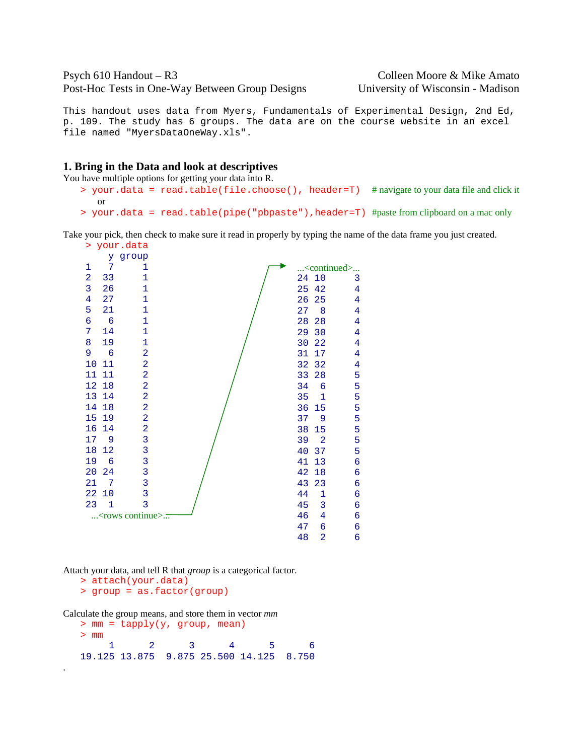# Psych 610 Handout – R3 Colleen Moore & Mike Amato Post-Hoc Tests in One-Way Between Group Designs University of Wisconsin - Madison

This handout uses data from Myers, Fundamentals of Experimental Design, 2nd Ed, p. 109. The study has 6 groups. The data are on the course website in an excel file named "MyersDataOneWay.xls".

#### **1. Bring in the Data and look at descriptives**

You have multiple options for getting your data into R.

- > your.data = read.table(file.choose(), header=T) # navigate to your data file and click it or
- > your.data = read.table(pipe("pbpaste"),header=T) #paste from clipboard on a mac only

Take your pick, then check to make sure it read in properly by typing the name of the data frame you just created.

> your.data



Attach your data, and tell R that *group* is a categorical factor.

> attach(your.data)

.

> group = as.factor(group)

Calculate the group means, and store them in vector *mm*

```
> mm = tapply(y, group, mean) 
> mm 
 1 2 3 4 5 6 
19.125 13.875 9.875 25.500 14.125 8.750
```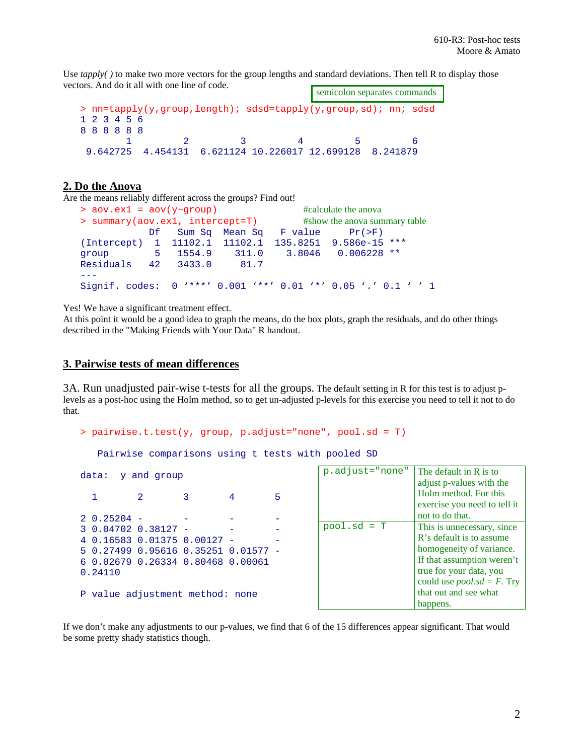Use *tapply()* to make two more vectors for the group lengths and standard deviations. Then tell R to display those vectors. And do it all with one line of code.

```
> nn=tapply(y,group,length); sdsd=tapply(y,group,sd); nn; sdsd 
1 2 3 4 5 6 
8 8 8 8 8 8 
 1 2 3 4 5 6 
 9.642725 4.454131 6.621124 10.226017 12.699128 8.241879 
                                   semicolon separates commands
```
# **2. Do the Anova**

Are the means reliably different across the groups? Find out!

```
> aov.ex1 = aov(y~group) #calculate the anova
> summary(aov.ex1, intercept=T) #show the anova summary table
          Df Sum Sq Mean Sq F value Pr(>F)
(Intercept) 1 11102.1 11102.1 135.8251 9.586e-15 *** 
group 5 1554.9 311.0 3.8046 0.006228 ** 
Residuals 42 3433.0 81.7 
- -Signif. codes: 0 '***' 0.001 '**' 0.01 '*' 0.05 '.' 0.1 ' ' 1
```
Yes! We have a significant treatment effect.

At this point it would be a good idea to graph the means, do the box plots, graph the residuals, and do other things described in the "Making Friends with Your Data" R handout.

## **3. Pairwise tests of mean differences**

3A. Run unadjusted pair-wise t-tests for all the groups. The default setting in R for this test is to adjust plevels as a post-hoc using the Holm method, so to get un-adjusted p-levels for this exercise you need to tell it not to do that.

```
> pairwise.t.test(y, group, p.adjust="none", pool.sd = T)
```
Pairwise comparisons using t tests with pooled SD

| data: y and group     |                                     | $p \cdot 4Q$ just = $n$ if $q$ is $q$ is a set and in |               |                                 |
|-----------------------|-------------------------------------|-------------------------------------------------------|---------------|---------------------------------|
|                       |                                     | 5                                                     |               | adjust p-values<br>Holm method. |
|                       |                                     |                                                       |               | exercise you n                  |
| $2\;\;0.25204\;\;-\;$ |                                     |                                                       |               | not to do that.                 |
| $30.047020.38127 -$   |                                     |                                                       | $pool.sd = T$ | This is unnece                  |
|                       | 4 0.16583 0.01375 0.00127 -         |                                                       |               | R's default is t                |
|                       | 5 0.27499 0.95616 0.35251 0.01577 - |                                                       |               | homogeneity of                  |
|                       | 6 0.02679 0.26334 0.80468 0.00061   |                                                       |               | If that assumpt                 |
| 0.24110               |                                     |                                                       |               | true for your d                 |
|                       |                                     |                                                       |               | could use <i>pool</i>           |
|                       | P value adjustment method: none     |                                                       |               | that out and se                 |

| p.adjust="none" | The default in R is to<br>adjust p-values with the<br>Holm method. For this<br>exercise you need to tell it<br>not to do that.                                                                               |
|-----------------|--------------------------------------------------------------------------------------------------------------------------------------------------------------------------------------------------------------|
| $pool.sd = T$   | This is unnecessary, since<br>R's default is to assume<br>homogeneity of variance.<br>If that assumption weren't<br>true for your data, you<br>could use $pool sd = F$ . Try<br>that out and see what<br>har |

If we don't make any adjustments to our p-values, we find that 6 of the 15 differences appear significant. That would be some pretty shady statistics though.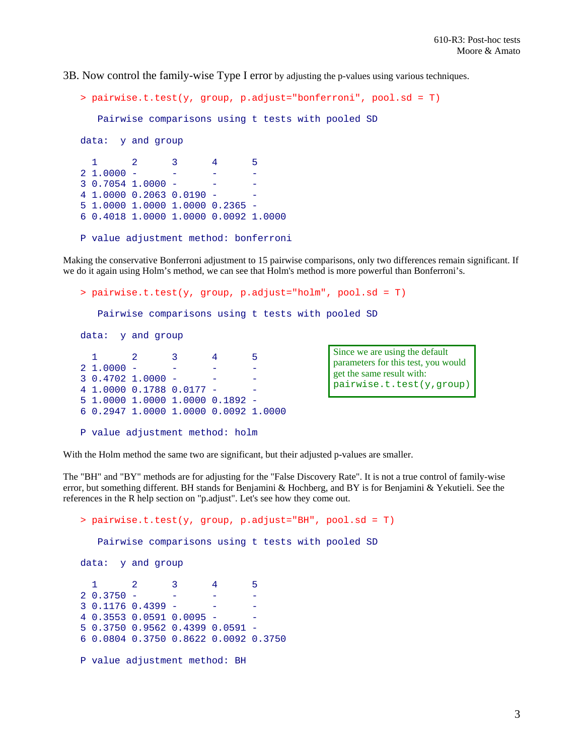3B. Now control the family-wise Type I error by adjusting the p-values using various techniques.

```
> pairwise.t.test(y, group, p.adjust="bonferroni", pool.sd = T)
   Pairwise comparisons using t tests with pooled SD 
data: y and group 
 1 2 3 4 5 
21.0000 -3 0.7054 1.0000 - - - 
4 1.0000 0.2063 0.0190 - - 
5 1.0000 1.0000 1.0000 0.2365 - 
6 0.4018 1.0000 1.0000 0.0092 1.0000 
P value adjustment method: bonferroni
```
Making the conservative Bonferroni adjustment to 15 pairwise comparisons, only two differences remain significant. If we do it again using Holm's method, we can see that Holm's method is more powerful than Bonferroni's.

```
> pairwise.t.test(y, group, p.adjust="holm", pool.sd = T)
    Pairwise comparisons using t tests with pooled SD 
data: y and group 
 1 2 3 4 5 
2 1.0000 - - - - 
30.4702 1.0000 -
4 1.0000 0.1788 0.0177 - - 
5 1.0000 1.0000 1.0000 0.1892 - 
6 0.2947 1.0000 1.0000 0.0092 1.0000 
P value adjustment method: holm 
                                              Since we are using the default 
                                              parameters for this test, you would 
                                              get the same result with: 
                                              pairwise.t.test(y,group)
```
With the Holm method the same two are significant, but their adjusted p-values are smaller.

The "BH" and "BY" methods are for adjusting for the "False Discovery Rate". It is not a true control of family-wise error, but something different. BH stands for Benjamini & Hochberg, and BY is for Benjamini & Yekutieli. See the references in the R help section on "p.adjust". Let's see how they come out.

```
> pairwise.t.test(y, group, p.adjust="BH", pool.sd = T)
   Pairwise comparisons using t tests with pooled SD 
data: y and group 
 1 2 3 4 5 
2 \t0.3750 - - - -30.11760.4399 -4 0.3553 0.0591 0.0095 - - 
5 0.3750 0.9562 0.4399 0.0591 - 
6 0.0804 0.3750 0.8622 0.0092 0.3750 
P value adjustment method: BH
```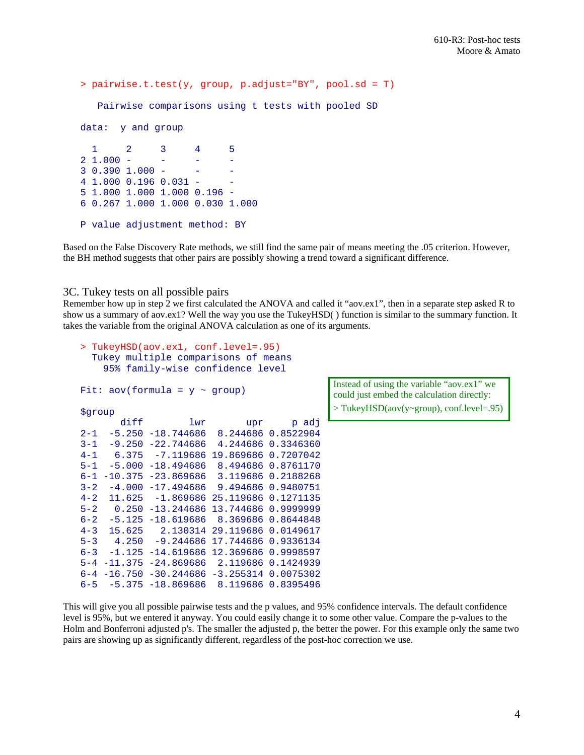```
> pairwise.t.test(y, group, p.adjust="BY", pool.sd = T)
   Pairwise comparisons using t tests with pooled SD 
data: y and group 
 1 2 3 4 5 
2 1.000 - - - - 
3\,0.390\,1.000 - - - -4 1.000 0.196 0.031 - - 
5 1.000 1.000 1.000 0.196 - 
6 0.267 1.000 1.000 0.030 1.000 
P value adjustment method: BY
```
Based on the False Discovery Rate methods, we still find the same pair of means meeting the .05 criterion. However, the BH method suggests that other pairs are possibly showing a trend toward a significant difference.

#### 3C. Tukey tests on all possible pairs

Remember how up in step 2 we first calculated the ANOVA and called it "aov.ex1", then in a separate step asked R to show us a summary of aov.ex1? Well the way you use the TukeyHSD( ) function is similar to the summary function. It takes the variable from the original ANOVA calculation as one of its arguments.

```
> TukeyHSD(aov.ex1, conf.level=.95) 
   Tukey multiple comparisons of means 
    95% family-wise confidence level 
Fit: aov(formula = y \sim group)$group 
 diff lwr upr p adj 
2-1 -5.250 -18.744686 8.244686 0.8522904 
3-1 -9.250 -22.744686 4.244686 0.3346360 
4-1 6.375 -7.119686 19.869686 0.7207042 
5-1 -5.000 -18.494686 8.494686 0.8761170 
6-1 -10.375 -23.869686 3.119686 0.2188268 
3-2 -4.000 -17.494686 9.494686 0.9480751 
4-2 11.625 -1.869686 25.119686 0.1271135 
5-2 0.250 -13.244686 13.744686 0.9999999 
6-2 -5.125 -18.619686 8.369686 0.8644848 
4-3 15.625 2.130314 29.119686 0.0149617 
5-3 4.250 -9.244686 17.744686 0.9336134 
6-3 -1.125 -14.619686 12.369686 0.9998597 
5-4 -11.375 -24.869686 2.119686 0.1424939 
6-4 -16.750 -30.244686 -3.255314 0.0075302 
6-5 -5.375 -18.869686 8.119686 0.8395496
```
Instead of using the variable "aov.ex1" we could just embed the calculation directly: > TukeyHSD(aov(y~group), conf.level=.95)

This will give you all possible pairwise tests and the p values, and 95% confidence intervals. The default confidence level is 95%, but we entered it anyway. You could easily change it to some other value. Compare the p-values to the Holm and Bonferroni adjusted p's. The smaller the adjusted p, the better the power. For this example only the same two pairs are showing up as significantly different, regardless of the post-hoc correction we use.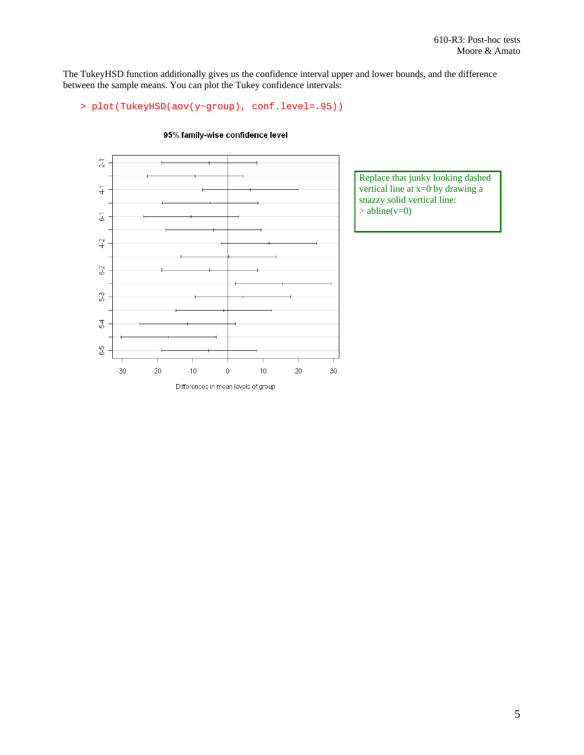The TukeyHSD function additionally gives us the confidence interval upper and lower bounds, and the difference between the sample means. You can plot the Tukey confidence intervals:

```
> plot(TukeyHSD(aov(y~group), conf.level=.95))
```


#### 95% family-wise confidence level

Replace that junky looking dashed vertical line at x=0 by drawing a snazzy solid vertical line:  $>$  abline(v=0)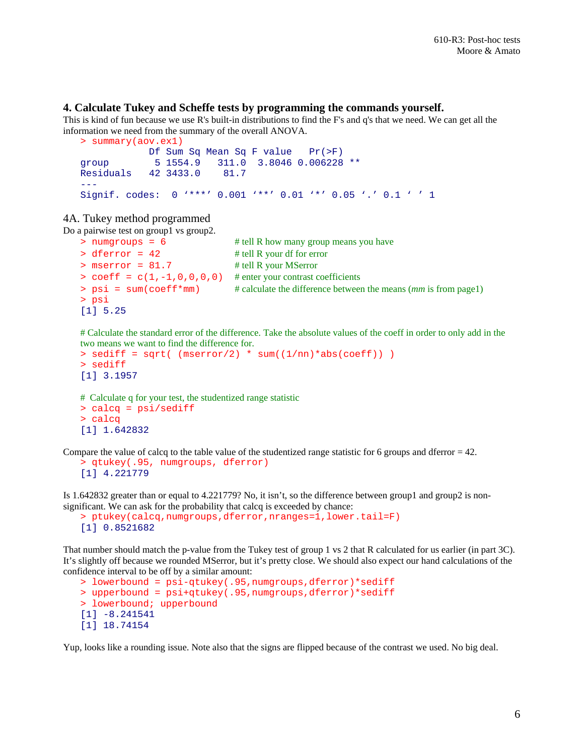### **4. Calculate Tukey and Scheffe tests by programming the commands yourself.**

This is kind of fun because we use R's built-in distributions to find the F's and q's that we need. We can get all the information we need from the summary of the overall ANOVA.

```
> summary(aov.ex1) 
            Df Sum Sq Mean Sq F value Pr(>F) 
group 5 1554.9 311.0 3.8046 0.006228 ** 
Residuals 42 3433.0 81.7 
--- 
Signif. codes: 0 '***' 0.001 '**' 0.01 '*' 0.05 '.' 0.1 ' ' 1
```
## 4A. Tukey method programmed

Do a pairwise test on group1 vs group2.

```
> numgroups = 6 \# tell R how many group means you have
> dferror = 42 # tell R your df for error
> mserror = 81.7 # tell R your MSerror
> coeff = c(1,-1,0,0,0,0) # enter your contrast coefficients
> psi = sum(coeff*mm) # calculate the difference between the means (mm is from page1) 
> psi
[1] 5.25
```
# Calculate the standard error of the difference. Take the absolute values of the coeff in order to only add in the two means we want to find the difference for.

```
> sediff = sqrt( (mserror/2) * sum((1/nn)*abs(coeff))
> sediff 
[1] 3.1957
```

```
# Calculate q for your test, the studentized range statistic
> calcq = psi/sediff 
> calcq
[1] 1.642832
```
Compare the value of calcq to the table value of the studentized range statistic for 6 groups and dferror  $= 42$ .

```
> qtukey(.95, numgroups, dferror) 
[1] 4.221779
```
Is 1.642832 greater than or equal to 4.221779? No, it isn't, so the difference between group1 and group2 is nonsignificant. We can ask for the probability that calcq is exceeded by chance:

```
> ptukey(calcq,numgroups,dferror,nranges=1,lower.tail=F)
[1] 0.8521682
```
That number should match the p-value from the Tukey test of group 1 vs 2 that R calculated for us earlier (in part 3C). It's slightly off because we rounded MSerror, but it's pretty close. We should also expect our hand calculations of the confidence interval to be off by a similar amount:

```
> lowerbound = psi-qtukey(.95,numgroups,dferror)*sediff 
> upperbound = psi+qtukey(.95,numgroups,dferror)*sediff 
> lowerbound; upperbound 
[1] -8.241541 
[1] 18.74154
```
Yup, looks like a rounding issue. Note also that the signs are flipped because of the contrast we used. No big deal.